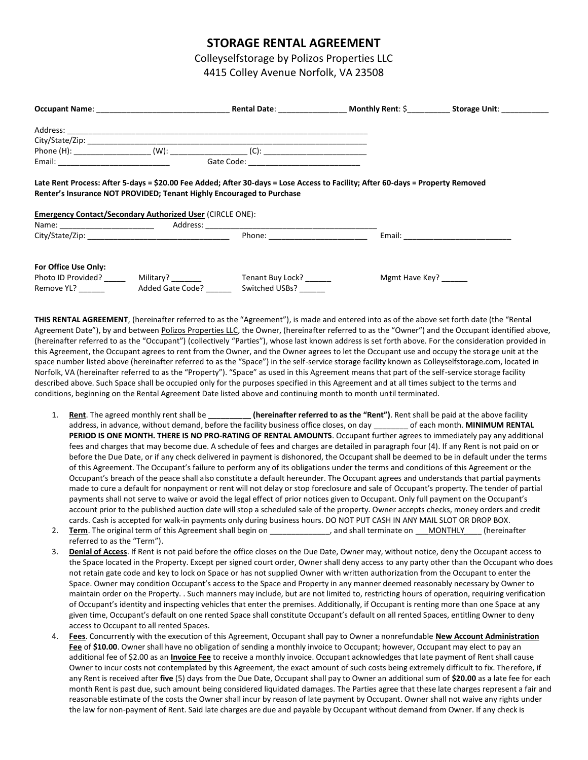## **STORAGE RENTAL AGREEMENT**

Colleyselfstorage by Polizos Properties LLC 4415 Colley Avenue Norfolk, VA 23508

|                      |                                                                                                                                                                                                                                |                                          |                                                                                                                                | Rental Date: Monthly Rent: \$ Storage Unit: |
|----------------------|--------------------------------------------------------------------------------------------------------------------------------------------------------------------------------------------------------------------------------|------------------------------------------|--------------------------------------------------------------------------------------------------------------------------------|---------------------------------------------|
|                      |                                                                                                                                                                                                                                |                                          |                                                                                                                                |                                             |
|                      |                                                                                                                                                                                                                                |                                          |                                                                                                                                |                                             |
|                      | Phone (H): _______________________(W): ________________________(C): ________________________________                                                                                                                           |                                          |                                                                                                                                |                                             |
|                      |                                                                                                                                                                                                                                | Gate Code: _____________________________ |                                                                                                                                |                                             |
|                      | Renter's Insurance NOT PROVIDED; Tenant Highly Encouraged to Purchase<br><b>Emergency Contact/Secondary Authorized User (CIRCLE ONE):</b>                                                                                      |                                          | Late Rent Process: After 5-days = \$20.00 Fee Added; After 30-days = Lose Access to Facility; After 60-days = Property Removed |                                             |
|                      | Name: Address: Analytical Address: Analytical Address: Analytical Address: Analytical Address: Analytical Address: Analytical Address: Address: Address: Address: Address: Address: Address: Address: Address: Address: Addres |                                          |                                                                                                                                |                                             |
| For Office Use Only: | Photo ID Provided? Military?                                                                                                                                                                                                   | Tenant Buy Lock?                         | Mgmt Have Key?                                                                                                                 |                                             |
| Remove YL?           | Added Gate Code?                                                                                                                                                                                                               | Switched USBs?                           |                                                                                                                                |                                             |

**THIS RENTAL AGREEMENT**, (hereinafter referred to as the "Agreement"), is made and entered into as of the above set forth date (the "Rental Agreement Date"), by and between Polizos Properties LLC, the Owner, (hereinafter referred to as the "Owner") and the Occupant identified above, (hereinafter referred to as the "Occupant") (collectively "Parties"), whose last known address is set forth above. For the consideration provided in this Agreement, the Occupant agrees to rent from the Owner, and the Owner agrees to let the Occupant use and occupy the storage unit at the space number listed above (hereinafter referred to as the "Space") in the self-service storage facility known as Colleyselfstorage.com, located in Norfolk, VA (hereinafter referred to as the "Property"). "Space" as used in this Agreement means that part of the self-service storage facility described above. Such Space shall be occupied only for the purposes specified in this Agreement and at all times subject to the terms and conditions, beginning on the Rental Agreement Date listed above and continuing month to month until terminated.

- 1. **Rent**. The agreed monthly rent shall be **\_\_\_\_\_\_\_\_\_\_ (hereinafter referred to as the "Rent")**. Rent shall be paid at the above facility address, in advance, without demand, before the facility business office closes, on day \_\_\_\_\_\_\_\_ of each month. **MINIMUM RENTAL PERIOD IS ONE MONTH. THERE IS NO PRO-RATING OF RENTAL AMOUNTS**. Occupant further agrees to immediately pay any additional fees and charges that may become due. A schedule of fees and charges are detailed in paragraph four (4). If any Rent is not paid on or before the Due Date, or if any check delivered in payment is dishonored, the Occupant shall be deemed to be in default under the terms of this Agreement. The Occupant's failure to perform any of its obligations under the terms and conditions of this Agreement or the Occupant's breach of the peace shall also constitute a default hereunder. The Occupant agrees and understands that partial payments made to cure a default for nonpayment or rent will not delay or stop foreclosure and sale of Occupant's property. The tender of partial payments shall not serve to waive or avoid the legal effect of prior notices given to Occupant. Only full payment on the Occupant's account prior to the published auction date will stop a scheduled sale of the property. Owner accepts checks, money orders and credit cards. Cash is accepted for walk-in payments only during business hours. DO NOT PUT CASH IN ANY MAIL SLOT OR DROP BOX.
- 2. **Term**. The original term of this Agreement shall begin on \_\_\_\_\_\_\_\_\_\_\_, and shall terminate on \_\_\_MONTHLY \_\_\_ (hereinafter referred to as the "Term").
- 3. **Denial of Access**. If Rent is not paid before the office closes on the Due Date, Owner may, without notice, deny the Occupant access to the Space located in the Property. Except per signed court order, Owner shall deny access to any party other than the Occupant who does not retain gate code and key to lock on Space or has not supplied Owner with written authorization from the Occupant to enter the Space. Owner may condition Occupant's access to the Space and Property in any manner deemed reasonably necessary by Owner to maintain order on the Property. . Such manners may include, but are not limited to, restricting hours of operation, requiring verification of Occupant's identity and inspecting vehicles that enter the premises. Additionally, if Occupant is renting more than one Space at any given time, Occupant's default on one rented Space shall constitute Occupant's default on all rented Spaces, entitling Owner to deny access to Occupant to all rented Spaces.
- 4. **Fees**. Concurrently with the execution of this Agreement, Occupant shall pay to Owner a nonrefundable **New Account Administration Fee** of **\$10.00**. Owner shall have no obligation of sending a monthly invoice to Occupant; however, Occupant may elect to pay an additional fee of \$2.00 as an **Invoice Fee** to receive a monthly invoice. Occupant acknowledges that late payment of Rent shall cause Owner to incur costs not contemplated by this Agreement, the exact amount of such costs being extremely difficult to fix. Therefore, if any Rent is received after **five** (5) days from the Due Date, Occupant shall pay to Owner an additional sum of **\$20.00** as a late fee for each month Rent is past due, such amount being considered liquidated damages. The Parties agree that these late charges represent a fair and reasonable estimate of the costs the Owner shall incur by reason of late payment by Occupant. Owner shall not waive any rights under the law for non-payment of Rent. Said late charges are due and payable by Occupant without demand from Owner. If any check is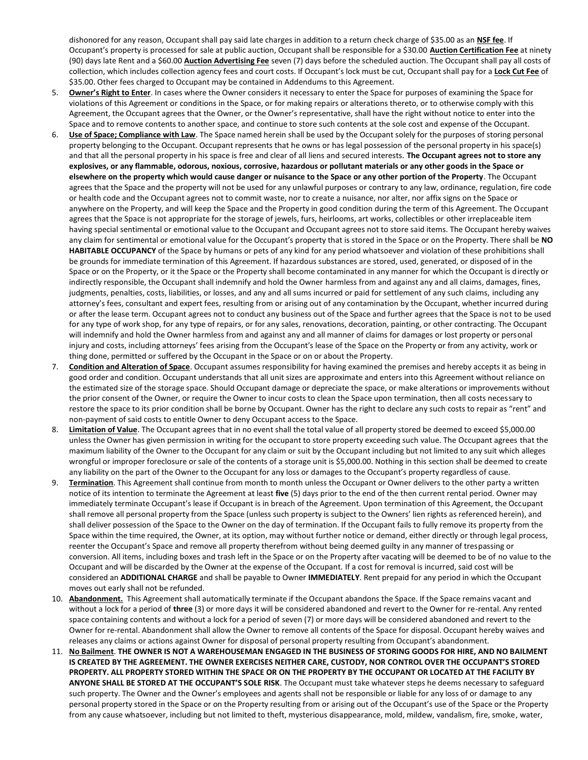dishonored for any reason, Occupant shall pay said late charges in addition to a return check charge of \$35.00 as an **NSF fee**. If Occupant's property is processed for sale at public auction, Occupant shall be responsible for a \$30.00 **Auction Certification Fee** at ninety (90) days late Rent and a \$60.00 **Auction Advertising Fee** seven (7) days before the scheduled auction. The Occupant shall pay all costs of collection, which includes collection agency fees and court costs. If Occupant's lock must be cut, Occupant shall pay for a **Lock Cut Fee** of \$35.00. Other fees charged to Occupant may be contained in Addendums to this Agreement.

- 5. **Owner's Right to Enter**. In cases where the Owner considers it necessary to enter the Space for purposes of examining the Space for violations of this Agreement or conditions in the Space, or for making repairs or alterations thereto, or to otherwise comply with this Agreement, the Occupant agrees that the Owner, or the Owner's representative, shall have the right without notice to enter into the Space and to remove contents to another space, and continue to store such contents at the sole cost and expense of the Occupant.
- 6. **Use of Space; Compliance with Law**. The Space named herein shall be used by the Occupant solely for the purposes of storing personal property belonging to the Occupant. Occupant represents that he owns or has legal possession of the personal property in his space(s) and that all the personal property in his space is free and clear of all liens and secured interests. **The Occupant agrees not to store any explosives, or any flammable, odorous, noxious, corrosive, hazardous or pollutant materials or any other goods in the Space or elsewhere on the property which would cause danger or nuisance to the Space or any other portion of the Property**. The Occupant agrees that the Space and the property will not be used for any unlawful purposes or contrary to any law, ordinance, regulation, fire code or health code and the Occupant agrees not to commit waste, nor to create a nuisance, nor alter, nor affix signs on the Space or anywhere on the Property, and will keep the Space and the Property in good condition during the term of this Agreement. The Occupant agrees that the Space is not appropriate for the storage of jewels, furs, heirlooms, art works, collectibles or other irreplaceable item having special sentimental or emotional value to the Occupant and Occupant agrees not to store said items. The Occupant hereby waives any claim for sentimental or emotional value for the Occupant's property that is stored in the Space or on the Property. There shall be **NO HABITABLE OCCUPANCY** of the Space by humans or pets of any kind for any period whatsoever and violation of these prohibitions shall be grounds for immediate termination of this Agreement. If hazardous substances are stored, used, generated, or disposed of in the Space or on the Property, or it the Space or the Property shall become contaminated in any manner for which the Occupant is directly or indirectly responsible, the Occupant shall indemnify and hold the Owner harmless from and against any and all claims, damages, fines, judgments, penalties, costs, liabilities, or losses, and any and all sums incurred or paid for settlement of any such claims, including any attorney's fees, consultant and expert fees, resulting from or arising out of any contamination by the Occupant, whether incurred during or after the lease term. Occupant agrees not to conduct any business out of the Space and further agrees that the Space is not to be used for any type of work shop, for any type of repairs, or for any sales, renovations, decoration, painting, or other contracting. The Occupant will indemnify and hold the Owner harmless from and against any and all manner of claims for damages or lost property or personal injury and costs, including attorneys' fees arising from the Occupant's lease of the Space on the Property or from any activity, work or thing done, permitted or suffered by the Occupant in the Space or on or about the Property.
- 7. **Condition and Alteration of Space**. Occupant assumes responsibility for having examined the premises and hereby accepts it as being in good order and condition. Occupant understands that all unit sizes are approximate and enters into this Agreement without reliance on the estimated size of the storage space. Should Occupant damage or depreciate the space, or make alterations or improvements without the prior consent of the Owner, or require the Owner to incur costs to clean the Space upon termination, then all costs necessary to restore the space to its prior condition shall be borne by Occupant. Owner has the right to declare any such costs to repair as "rent" and non-payment of said costs to entitle Owner to deny Occupant access to the Space.
- 8. Limitation of Value. The Occupant agrees that in no event shall the total value of all property stored be deemed to exceed \$5,000.00 unless the Owner has given permission in writing for the occupant to store property exceeding such value. The Occupant agrees that the maximum liability of the Owner to the Occupant for any claim or suit by the Occupant including but not limited to any suit which alleges wrongful or improper foreclosure or sale of the contents of a storage unit is \$5,000.00. Nothing in this section shall be deemed to create any liability on the part of the Owner to the Occupant for any loss or damages to the Occupant's property regardless of cause.
- 9. **Termination**. This Agreement shall continue from month to month unless the Occupant or Owner delivers to the other party a written notice of its intention to terminate the Agreement at least **five** (5) days prior to the end of the then current rental period. Owner may immediately terminate Occupant's lease if Occupant is in breach of the Agreement. Upon termination of this Agreement, the Occupant shall remove all personal property from the Space (unless such property is subject to the Owners' lien rights as referenced herein), and shall deliver possession of the Space to the Owner on the day of termination. If the Occupant fails to fully remove its property from the Space within the time required, the Owner, at its option, may without further notice or demand, either directly or through legal process, reenter the Occupant's Space and remove all property therefrom without being deemed guilty in any manner of trespassing or conversion. All items, including boxes and trash left in the Space or on the Property after vacating will be deemed to be of no value to the Occupant and will be discarded by the Owner at the expense of the Occupant. If a cost for removal is incurred, said cost will be considered an **ADDITIONAL CHARGE** and shall be payable to Owner **IMMEDIATELY**. Rent prepaid for any period in which the Occupant moves out early shall not be refunded.
- 10. **Abandonment.** This Agreement shall automatically terminate if the Occupant abandons the Space. If the Space remains vacant and without a lock for a period of **three** (3) or more days it will be considered abandoned and revert to the Owner for re-rental. Any rented space containing contents and without a lock for a period of seven (7) or more days will be considered abandoned and revert to the Owner for re-rental. Abandonment shall allow the Owner to remove all contents of the Space for disposal. Occupant hereby waives and releases any claims or actions against Owner for disposal of personal property resulting from Occupant's abandonment.
- 11. **No Bailment**. **THE OWNER IS NOT A WAREHOUSEMAN ENGAGED IN THE BUSINESS OF STORING GOODS FOR HIRE, AND NO BAILMENT IS CREATED BY THE AGREEMENT. THE OWNER EXERCISES NEITHER CARE, CUSTODY, NOR CONTROL OVER THE OCCUPANT'S STORED PROPERTY. ALL PROPERTY STORED WITHIN THE SPACE OR ON THE PROPERTY BY THE OCCUPANT OR LOCATED AT THE FACILITY BY ANYONE SHALL BE STORED AT THE OCCUPANT'S SOLE RISK**. The Occupant must take whatever steps he deems necessary to safeguard such property. The Owner and the Owner's employees and agents shall not be responsible or liable for any loss of or damage to any personal property stored in the Space or on the Property resulting from or arising out of the Occupant's use of the Space or the Property from any cause whatsoever, including but not limited to theft, mysterious disappearance, mold, mildew, vandalism, fire, smoke, water,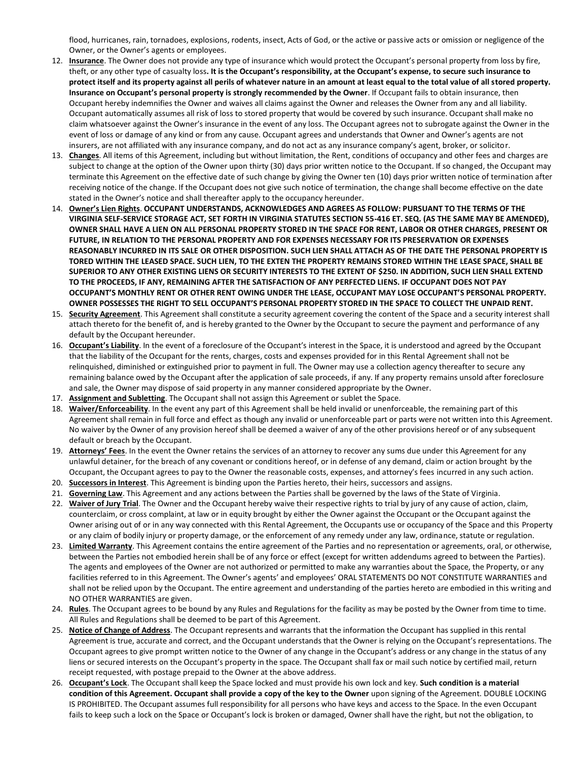flood, hurricanes, rain, tornadoes, explosions, rodents, insect, Acts of God, or the active or passive acts or omission or negligence of the Owner, or the Owner's agents or employees.

- 12. **Insurance**. The Owner does not provide any type of insurance which would protect the Occupant's personal property from loss by fire, theft, or any other type of casualty loss**. It is the Occupant's responsibility, at the Occupant's expense, to secure such insurance to protect itself and its property against all perils of whatever nature in an amount at least equal to the total value of all stored property. Insurance on Occupant's personal property is strongly recommended by the Owner**. If Occupant fails to obtain insurance, then Occupant hereby indemnifies the Owner and waives all claims against the Owner and releases the Owner from any and all liability. Occupant automatically assumes all risk of loss to stored property that would be covered by such insurance. Occupant shall make no claim whatsoever against the Owner's insurance in the event of any loss. The Occupant agrees not to subrogate against the Owner in the event of loss or damage of any kind or from any cause. Occupant agrees and understands that Owner and Owner's agents are not insurers, are not affiliated with any insurance company, and do not act as any insurance company's agent, broker, or solicitor.
- 13. **Changes**. All items of this Agreement, including but without limitation, the Rent, conditions of occupancy and other fees and charges are subject to change at the option of the Owner upon thirty (30) days prior written notice to the Occupant. If so changed, the Occupant may terminate this Agreement on the effective date of such change by giving the Owner ten (10) days prior written notice of termination after receiving notice of the change. If the Occupant does not give such notice of termination, the change shall become effective on the date stated in the Owner's notice and shall thereafter apply to the occupancy hereunder.
- 14. **Owner's Lien Rights**. **OCCUPANT UNDERSTANDS, ACKNOWLEDGES AND AGREES AS FOLLOW: PURSUANT TO THE TERMS OF THE VIRGINIA SELF-SERVICE STORAGE ACT, SET FORTH IN VIRGINIA STATUTES SECTION 55-416 ET. SEQ. (AS THE SAME MAY BE AMENDED), OWNER SHALL HAVE A LIEN ON ALL PERSONAL PROPERTY STORED IN THE SPACE FOR RENT, LABOR OR OTHER CHARGES, PRESENT OR FUTURE, IN RELATION TO THE PERSONAL PROPERTY AND FOR EXPENSES NECESSARY FOR ITS PRESERVATION OR EXPENSES REASONABLY INCURRED IN ITS SALE OR OTHER DISPOSITION. SUCH LIEN SHALL ATTACH AS OF THE DATE THE PERSONAL PROPERTY IS TORED WITHIN THE LEASED SPACE. SUCH LIEN, TO THE EXTEN THE PROPERTY REMAINS STORED WITHIN THE LEASE SPACE, SHALL BE SUPERIOR TO ANY OTHER EXISTING LIENS OR SECURITY INTERESTS TO THE EXTENT OF \$250. IN ADDITION, SUCH LIEN SHALL EXTEND TO THE PROCEEDS, IF ANY, REMAINING AFTER THE SATISFACTION OF ANY PERFECTED LIENS. IF OCCUPANT DOES NOT PAY OCCUPANT'S MONTHLY RENT OR OTHER RENT OWING UNDER THE LEASE, OCCUPANT MAY LOSE OCCUPANT'S PERSONAL PROPERTY. OWNER POSSESSES THE RIGHT TO SELL OCCUPANT'S PERSONAL PROPERTY STORED IN THE SPACE TO COLLECT THE UNPAID RENT.**
- 15. **Security Agreement**. This Agreement shall constitute a security agreement covering the content of the Space and a security interest shall attach thereto for the benefit of, and is hereby granted to the Owner by the Occupant to secure the payment and performance of any default by the Occupant hereunder.
- 16. **Occupant's Liability**. In the event of a foreclosure of the Occupant's interest in the Space, it is understood and agreed by the Occupant that the liability of the Occupant for the rents, charges, costs and expenses provided for in this Rental Agreement shall not be relinquished, diminished or extinguished prior to payment in full. The Owner may use a collection agency thereafter to secure any remaining balance owed by the Occupant after the application of sale proceeds, if any. If any property remains unsold after foreclosure and sale, the Owner may dispose of said property in any manner considered appropriate by the Owner.
- 17. **Assignment and Subletting**. The Occupant shall not assign this Agreement or sublet the Space.
- 18. **Waiver/Enforceability**. In the event any part of this Agreement shall be held invalid or unenforceable, the remaining part of this Agreement shall remain in full force and effect as though any invalid or unenforceable part or parts were not written into this Agreement. No waiver by the Owner of any provision hereof shall be deemed a waiver of any of the other provisions hereof or of any subsequent default or breach by the Occupant.
- 19. **Attorneys' Fees**. In the event the Owner retains the services of an attorney to recover any sums due under this Agreement for any unlawful detainer, for the breach of any covenant or conditions hereof, or in defense of any demand, claim or action brought by the Occupant, the Occupant agrees to pay to the Owner the reasonable costs, expenses, and attorney's fees incurred in any such action.
- 20. **Successors in Interest**. This Agreement is binding upon the Parties hereto, their heirs, successors and assigns.
- 21. **Governing Law**. This Agreement and any actions between the Parties shall be governed by the laws of the State of Virginia.
- 22. **Waiver of Jury Trial**. The Owner and the Occupant hereby waive their respective rights to trial by jury of any cause of action, claim, counterclaim, or cross complaint, at law or in equity brought by either the Owner against the Occupant or the Occupant against the Owner arising out of or in any way connected with this Rental Agreement, the Occupants use or occupancy of the Space and this Property or any claim of bodily injury or property damage, or the enforcement of any remedy under any law, ordinance, statute or regulation.
- 23. **Limited Warranty**. This Agreement contains the entire agreement of the Parties and no representation or agreements, oral, or otherwise, between the Parties not embodied herein shall be of any force or effect (except for written addendums agreed to between the Parties). The agents and employees of the Owner are not authorized or permitted to make any warranties about the Space, the Property, or any facilities referred to in this Agreement. The Owner's agents' and employees' ORAL STATEMENTS DO NOT CONSTITUTE WARRANTIES and shall not be relied upon by the Occupant. The entire agreement and understanding of the parties hereto are embodied in this writing and NO OTHER WARRANTIES are given.
- 24. **Rules**. The Occupant agrees to be bound by any Rules and Regulations for the facility as may be posted by the Owner from time to time. All Rules and Regulations shall be deemed to be part of this Agreement.
- 25. **Notice of Change of Address**. The Occupant represents and warrants that the information the Occupant has supplied in this rental Agreement is true, accurate and correct, and the Occupant understands that the Owner is relying on the Occupant's representations. The Occupant agrees to give prompt written notice to the Owner of any change in the Occupant's address or any change in the status of any liens or secured interests on the Occupant's property in the space. The Occupant shall fax or mail such notice by certified mail, return receipt requested, with postage prepaid to the Owner at the above address.
- 26. **Occupant's Lock**. The Occupant shall keep the Space locked and must provide his own lock and key. **Such condition is a material condition of this Agreement. Occupant shall provide a copy of the key to the Owner** upon signing of the Agreement. DOUBLE LOCKING IS PROHIBITED. The Occupant assumes full responsibility for all persons who have keys and access to the Space. In the even Occupant fails to keep such a lock on the Space or Occupant's lock is broken or damaged, Owner shall have the right, but not the obligation, to